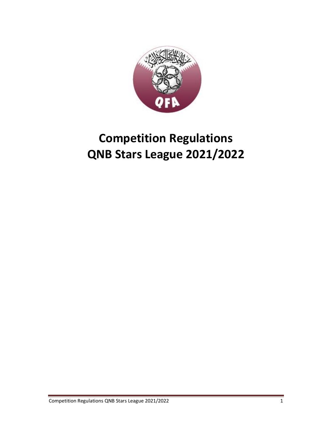

# **Competition Regulations QNB Stars League 2021/2022**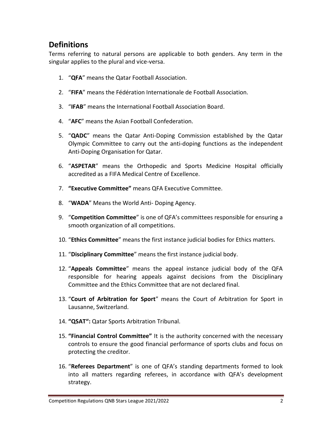### **Definitions**

Terms referring to natural persons are applicable to both genders. Any term in the singular applies to the plural and vice-versa.

- 1. "**QFA**" means the Qatar Football Association.
- 2. "**FIFA**" means the Fédération Internationale de Football Association.
- 3. "**IFAB**" means the International Football Association Board.
- 4. "**AFC**" means the Asian Football Confederation.
- 5. "**QADC**" means the Qatar Anti-Doping Commission established by the Qatar Olympic Committee to carry out the anti-doping functions as the independent Anti-Doping Organisation for Qatar.
- 6. "**ASPETAR**" means the Orthopedic and Sports Medicine Hospital officially accredited as a FIFA Medical Centre of Excellence.
- 7. **"Executive Committee"** means QFA Executive Committee.
- 8. "**WADA**" Means the World Anti- Doping Agency.
- 9. "**Competition Committee**" is one of QFA's committees responsible for ensuring a smooth organization of all competitions.
- 10. "**Ethics Committee**" means the first instance judicial bodies for Ethics matters.
- 11. "**Disciplinary Committee**" means the first instance judicial body.
- 12. "**Appeals Committee**" means the appeal instance judicial body of the QFA responsible for hearing appeals against decisions from the Disciplinary Committee and the Ethics Committee that are not declared final.
- 13. "**Court of Arbitration for Sport**" means the Court of Arbitration for Sport in Lausanne, Switzerland.
- 14. **"QSAT":** Qatar Sports Arbitration Tribunal.
- 15. **"Financial Control Committee"** It is the authority concerned with the necessary controls to ensure the good financial performance of sports clubs and focus on protecting the creditor.
- 16. "**Referees Department**" is one of QFA's standing departments formed to look into all matters regarding referees, in accordance with QFA's development strategy.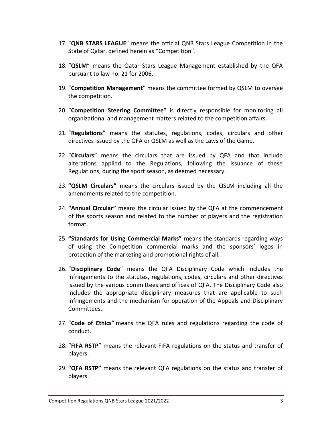- 17. "**QNB STARS LEAGUE**" means the official QNB Stars League Competition in the State of Qatar, defined herein as "Competition".
- 18. "**QSLM**" means the Qatar Stars League Management established by the QFA pursuant to law no. 21 for 2006.
- 19. "**Competition Management**" means the committee formed by QSLM to oversee the competition.
- 20. "**Competition Steering Committee"** is directly responsible for monitoring all organizational and management matters related to the competition affairs.
- 21. "**Regulations**" means the statutes, regulations, codes, circulars and other directives issued by the QFA or QSLM as well as the Laws of the Game.
- 22. "**Circulars**" means the circulars that are issued by QFA and that include alterations applied to the Regulations, following the issuance of these Regulations, during the sport season, as deemed necessary.
- 23. **"QSLM Circulars"** means the circulars issued by the QSLM including all the amendments related to the competition.
- 24. **"Annual Circular"** means the circular issued by the QFA at the commencement of the sports season and related to the number of players and the registration format.
- 25. **"Standards for Using Commercial Marks"** means the standards regarding ways of using the Competition commercial marks and the sponsors' logos in protection of the marketing and promotional rights of all.
- 26. "**Disciplinary Code**" means the QFA Disciplinary Code which includes the infringements to the statutes, regulations, codes, circulars and other directives issued by the various committees and offices of QFA. The Disciplinary Code also includes the appropriate disciplinary measures that are applicable to such infringements and the mechanism for operation of the Appeals and Disciplinary Committees.
- 27. "**Code of Ethics**" means the QFA rules and regulations regarding the code of conduct.
- 28. "**FIFA RSTP**" means the relevant FIFA regulations on the status and transfer of players.
- 29. **"QFA RSTP"** means the relevant QFA regulations on the status and transfer of players.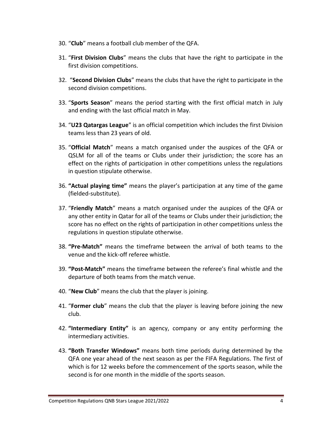- 30. "**Club**" means a football club member of the QFA.
- 31. "**First Division Clubs**" means the clubs that have the right to participate in the first division competitions.
- 32. "**Second Division Clubs**" means the clubs that have the right to participate in the second division competitions.
- 33. "**Sports Season**" means the period starting with the first official match in July and ending with the last official match in May.
- 34. "**U23 Qatargas League**" is an official competition which includes the first Division teams less than 23 years of old.
- 35. "**Official Match**" means a match organised under the auspices of the QFA or QSLM for all of the teams or Clubs under their jurisdiction; the score has an effect on the rights of participation in other competitions unless the regulations in question stipulate otherwise.
- 36. **"Actual playing time"** means the player's participation at any time of the game (fielded-substitute).
- 37. "**Friendly Match**" means a match organised under the auspices of the QFA or any other entity in Qatar for all of the teams or Clubs under their jurisdiction; the score has no effect on the rights of participation in other competitions unless the regulations in question stipulate otherwise.
- 38. **"Pre-Match"** means the timeframe between the arrival of both teams to the venue and the kick-off referee whistle.
- 39. **"Post-Match"** means the timeframe between the referee's final whistle and the departure of both teams from the match venue.
- 40. "**New Club**" means the club that the player is joining.
- 41. "**Former club**" means the club that the player is leaving before joining the new club.
- 42. **"Intermediary Entity"** is an agency, company or any entity performing the intermediary activities.
- 43. **"Both Transfer Windows"** means both time periods during determined by the QFA one year ahead of the next season as per the FIFA Regulations. The first of which is for 12 weeks before the commencement of the sports season, while the second is for one month in the middle of the sports season.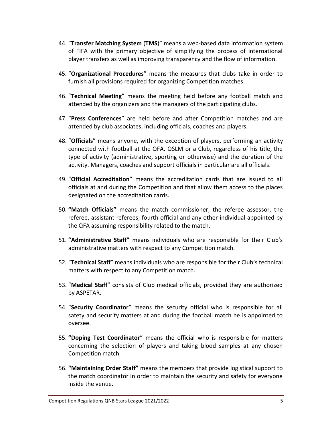- 44. "**Transfer Matching System** (**TMS**)" means a web-based data information system of FIFA with the primary objective of simplifying the process of international player transfers as well as improving transparency and the flow of information.
- 45. "**Organizational Procedures**" means the measures that clubs take in order to furnish all provisions required for organizing Competition matches.
- 46. "**Technical Meeting**" means the meeting held before any football match and attended by the organizers and the managers of the participating clubs.
- 47. "**Press Conferences**" are held before and after Competition matches and are attended by club associates, including officials, coaches and players.
- 48. "**Officials**" means anyone, with the exception of players, performing an activity connected with football at the QFA, QSLM or a Club, regardless of his title, the type of activity (administrative, sporting or otherwise) and the duration of the activity. Managers, coaches and support officials in particular are all officials.
- 49. "**Official Accreditation**" means the accreditation cards that are issued to all officials at and during the Competition and that allow them access to the places designated on the accreditation cards.
- 50. **"Match Officials"** means the match commissioner, the referee assessor, the referee, assistant referees, fourth official and any other individual appointed by the QFA assuming responsibility related to the match.
- 51. **"Administrative Staff"** means individuals who are responsible for their Club's administrative matters with respect to any Competition match.
- 52. "**Technical Staff**" means individuals who are responsible for their Club's technical matters with respect to any Competition match.
- 53. "**Medical Staff**" consists of Club medical officials, provided they are authorized by ASPETAR.
- 54. "**Security Coordinator**" means the security official who is responsible for all safety and security matters at and during the football match he is appointed to oversee.
- 55. **"Doping Test Coordinator**" means the official who is responsible for matters concerning the selection of players and taking blood samples at any chosen Competition match.
- 56. **"Maintaining Order Staff"** means the members that provide logistical support to the match coordinator in order to maintain the security and safety for everyone inside the venue.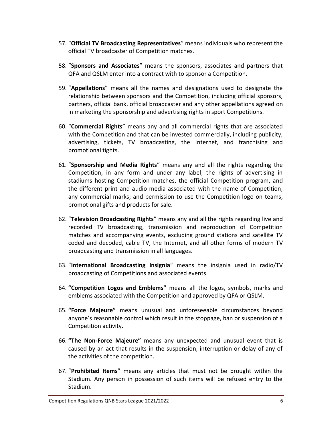- 57. "**Official TV Broadcasting Representatives**" means individuals who represent the official TV broadcaster of Competition matches.
- 58. "**Sponsors and Associates**" means the sponsors, associates and partners that QFA and QSLM enter into a contract with to sponsor a Competition.
- 59. "**Appellations**" means all the names and designations used to designate the relationship between sponsors and the Competition, including official sponsors, partners, official bank, official broadcaster and any other appellations agreed on in marketing the sponsorship and advertising rights in sport Competitions.
- 60. "**Commercial Rights**" means any and all commercial rights that are associated with the Competition and that can be invested commercially, including publicity, advertising, tickets, TV broadcasting, the Internet, and franchising and promotional tights.
- 61. "**Sponsorship and Media Rights**" means any and all the rights regarding the Competition, in any form and under any label; the rights of advertising in stadiums hosting Competition matches, the official Competition program, and the different print and audio media associated with the name of Competition, any commercial marks; and permission to use the Competition logo on teams, promotional gifts and products for sale.
- 62. "**Television Broadcasting Rights**" means any and all the rights regarding live and recorded TV broadcasting, transmission and reproduction of Competition matches and accompanying events, excluding ground stations and satellite TV coded and decoded, cable TV, the Internet, and all other forms of modern TV broadcasting and transmission in all languages.
- 63. "**International Broadcasting Insignia**" means the insignia used in radio/TV broadcasting of Competitions and associated events.
- 64. **"Competition Logos and Emblems"** means all the logos, symbols, marks and emblems associated with the Competition and approved by QFA or QSLM.
- 65. **"Force Majeure"** means unusual and unforeseeable circumstances beyond anyone's reasonable control which result in the stoppage, ban or suspension of a Competition activity.
- 66. **"The Non-Force Majeure"** means any unexpected and unusual event that is caused by an act that results in the suspension, interruption or delay of any of the activities of the competition.
- 67. "**Prohibited Items**" means any articles that must not be brought within the Stadium. Any person in possession of such items will be refused entry to the Stadium.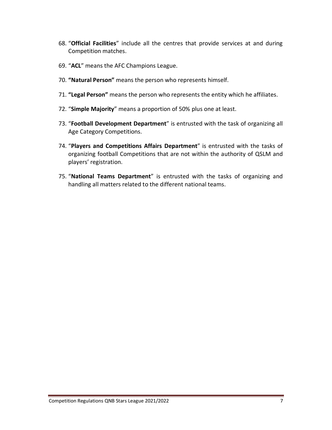- 68. "**Official Facilities**" include all the centres that provide services at and during Competition matches.
- 69. "**ACL**" means the AFC Champions League.
- 70. **"Natural Person"** means the person who represents himself.
- 71. **"Legal Person"** means the person who represents the entity which he affiliates.
- 72. "**Simple Majority**" means a proportion of 50% plus one at least.
- 73. "**Football Development Department**" is entrusted with the task of organizing all Age Category Competitions.
- 74. "**Players and Competitions Affairs Department**" is entrusted with the tasks of organizing football Competitions that are not within the authority of QSLM and players' registration.
- 75. "**National Teams Department**" is entrusted with the tasks of organizing and handling all matters related to the different national teams.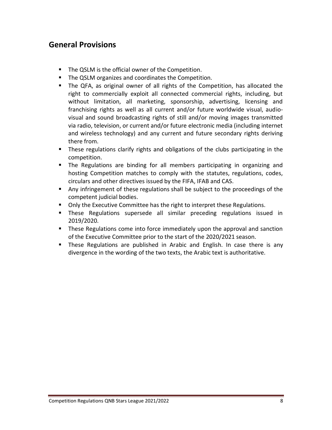### **General Provisions**

- The QSLM is the official owner of the Competition.
- The QSLM organizes and coordinates the Competition.
- The QFA, as original owner of all rights of the Competition, has allocated the right to commercially exploit all connected commercial rights, including, but without limitation, all marketing, sponsorship, advertising, licensing and franchising rights as well as all current and/or future worldwide visual, audiovisual and sound broadcasting rights of still and/or moving images transmitted via radio, television, or current and/or future electronic media (including internet and wireless technology) and any current and future secondary rights deriving there from.
- **EXT** These regulations clarify rights and obligations of the clubs participating in the competition.
- **The Regulations are binding for all members participating in organizing and** hosting Competition matches to comply with the statutes, regulations, codes, circulars and other directives issued by the FIFA, IFAB and CAS.
- Any infringement of these regulations shall be subject to the proceedings of the competent judicial bodies.
- Only the Executive Committee has the right to interpret these Regulations.
- **•** These Regulations supersede all similar preceding regulations issued in 2019/2020.
- These Regulations come into force immediately upon the approval and sanction of the Executive Committee prior to the start of the 2020/2021 season.
- **E** These Regulations are published in Arabic and English. In case there is any divergence in the wording of the two texts, the Arabic text is authoritative.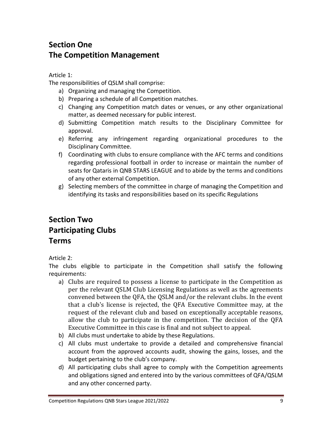# **Section One The Competition Management**

Article 1:

The responsibilities of QSLM shall comprise:

- a) Organizing and managing the Competition.
- b) Preparing a schedule of all Competition matches.
- c) Changing any Competition match dates or venues, or any other organizational matter, as deemed necessary for public interest.
- d) Submitting Competition match results to the Disciplinary Committee for approval.
- e) Referring any infringement regarding organizational procedures to the Disciplinary Committee.
- f) Coordinating with clubs to ensure compliance with the AFC terms and conditions regarding professional football in order to increase or maintain the number of seats for Qataris in QNB STARS LEAGUE and to abide by the terms and conditions of any other external Competition.
- g) Selecting members of the committee in charge of managing the Competition and identifying its tasks and responsibilities based on its specific Regulations

# **Section Two Participating Clubs Terms**

### Article 2:

The clubs eligible to participate in the Competition shall satisfy the following requirements:

- a) Clubs are required to possess a license to participate in the Competition as per the relevant QSLM Club Licensing Regulations as well as the agreements convened between the QFA, the QSLM and/or the relevant clubs. In the event that a club's license is rejected, the QFA Executive Committee may, at the request of the relevant club and based on exceptionally acceptable reasons, allow the club to participate in the competition. The decision of the QFA Executive Committee in this case is final and not subject to appeal.
- b) All clubs must undertake to abide by these Regulations.
- c) All clubs must undertake to provide a detailed and comprehensive financial account from the approved accounts audit, showing the gains, losses, and the budget pertaining to the club's company.
- d) All participating clubs shall agree to comply with the Competition agreements and obligations signed and entered into by the various committees of QFA/QSLM and any other concerned party.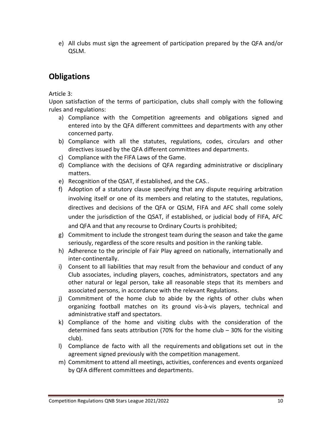e) All clubs must sign the agreement of participation prepared by the QFA and/or QSLM.

# **Obligations**

Article 3:

Upon satisfaction of the terms of participation, clubs shall comply with the following rules and regulations:

- a) Compliance with the Competition agreements and obligations signed and entered into by the QFA different committees and departments with any other concerned party.
- b) Compliance with all the statutes, regulations, codes, circulars and other directives issued by the QFA different committees and departments.
- c) Compliance with the FIFA Laws of the Game.
- d) Compliance with the decisions of QFA regarding administrative or disciplinary matters.
- e) Recognition of the QSAT, if established, and the CAS..
- f) Adoption of a statutory clause specifying that any dispute requiring arbitration involving itself or one of its members and relating to the statutes, regulations, directives and decisions of the QFA or QSLM, FIFA and AFC shall come solely under the jurisdiction of the QSAT, if established, or judicial body of FIFA, AFC and QFA and that any recourse to Ordinary Courts is prohibited;
- g) Commitment to include the strongest team during the season and take the game seriously, regardless of the score results and position in the ranking table.
- h) Adherence to the principle of Fair Play agreed on nationally, internationally and inter-continentally.
- i) Consent to all liabilities that may result from the behaviour and conduct of any Club associates, including players, coaches, administrators, spectators and any other natural or legal person, take all reasonable steps that its members and associated persons, in accordance with the relevant Regulations.
- j) Commitment of the home club to abide by the rights of other clubs when organizing football matches on its ground vis-à-vis players, technical and administrative staff and spectators.
- k) Compliance of the home and visiting clubs with the consideration of the determined fans seats attribution (70% for the home club – 30% for the visiting club).
- l) Compliance de facto with all the requirements and obligations set out in the agreement signed previously with the competition management.
- m) Commitment to attend all meetings, activities, conferences and events organized by QFA different committees and departments.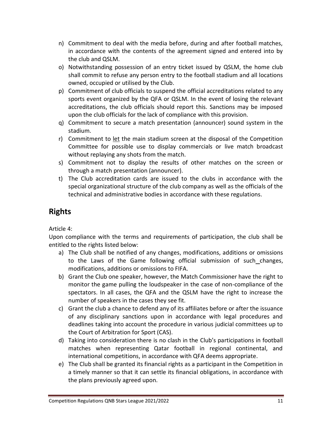- n) Commitment to deal with the media before, during and after football matches, in accordance with the contents of the agreement signed and entered into by the club and QSLM.
- o) Notwithstanding possession of an entry ticket issued by QSLM, the home club shall commit to refuse any person entry to the football stadium and all locations owned, occupied or utilised by the Club.
- p) Commitment of club officials to suspend the official accreditations related to any sports event organized by the QFA or QSLM. In the event of losing the relevant accreditations, the club officials should report this. Sanctions may be imposed upon the club officials for the lack of compliance with this provision.
- q) Commitment to secure a match presentation (announcer) sound system in the stadium.
- r) Commitment to let the main stadium screen at the disposal of the Competition Committee for possible use to display commercials or live match broadcast without replaying any shots from the match.
- s) Commitment not to display the results of other matches on the screen or through a match presentation (announcer).
- t) The Club accreditation cards are issued to the clubs in accordance with the special organizational structure of the club company as well as the officials of the technical and administrative bodies in accordance with these regulations.

### **Rights**

Article 4:

Upon compliance with the terms and requirements of participation, the club shall be entitled to the rights listed below:

- a) The Club shall be notified of any changes, modifications, additions or omissions to the Laws of the Game following official submission of such changes, modifications, additions or omissions to FIFA.
- b) Grant the Club one speaker, however, the Match Commissioner have the right to monitor the game pulling the loudspeaker in the case of non-compliance of the spectators. In all cases, the QFA and the QSLM have the right to increase the number of speakers in the cases they see fit.
- c) Grant the club a chance to defend any of its affiliates before or after the issuance of any disciplinary sanctions upon in accordance with legal procedures and deadlines taking into account the procedure in various judicial committees up to the Court of Arbitration for Sport (CAS).
- d) Taking into consideration there is no clash in the Club's participations in football matches when representing Qatar football in regional continental, and international competitions, in accordance with QFA deems appropriate.
- e) The Club shall be granted its financial rights as a participant in the Competition in a timely manner so that it can settle its financial obligations, in accordance with the plans previously agreed upon.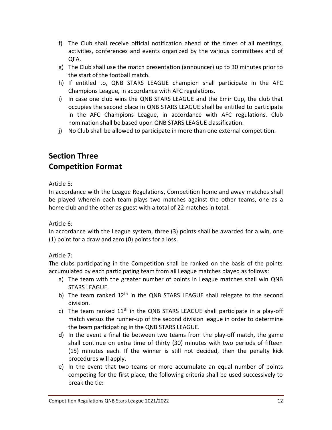- f) The Club shall receive official notification ahead of the times of all meetings, activities, conferences and events organized by the various committees and of QFA.
- g) The Club shall use the match presentation (announcer) up to 30 minutes prior to the start of the football match.
- h) If entitled to, QNB STARS LEAGUE champion shall participate in the AFC Champions League, in accordance with AFC regulations.
- i) In case one club wins the QNB STARS LEAGUE and the Emir Cup, the club that occupies the second place in QNB STARS LEAGUE shall be entitled to participate in the AFC Champions League, in accordance with AFC regulations. Club nomination shall be based upon QNB STARS LEAGUE classification.
- j) No Club shall be allowed to participate in more than one external competition.

# **Section Three Competition Format**

Article 5:

In accordance with the League Regulations, Competition home and away matches shall be played wherein each team plays two matches against the other teams, one as a home club and the other as guest with a total of 22 matches in total.

Article 6:

In accordance with the League system, three (3) points shall be awarded for a win, one (1) point for a draw and zero (0) points for a loss.

Article 7:

The clubs participating in the Competition shall be ranked on the basis of the points accumulated by each participating team from all League matches played as follows:

- a) The team with the greater number of points in League matches shall win QNB STARS LEAGUE.
- b) The team ranked  $12<sup>th</sup>$  in the QNB STARS LEAGUE shall relegate to the second division.
- c) The team ranked  $11<sup>th</sup>$  in the QNB STARS LEAGUE shall participate in a play-off match versus the runner-up of the second division league in order to determine the team participating in the QNB STARS LEAGUE.
- d) In the event a final tie between two teams from the play-off match, the game shall continue on [extra time](http://en.wikipedia.org/wiki/Extra_time) of thirty (30) minutes with two periods of fifteen (15) minutes each. If the winner is still not decided, then the penalty kick procedures will apply.
- e) In the event that two teams or more accumulate an equal number of points competing for the first place, the following criteria shall be used successively to break the tie**:**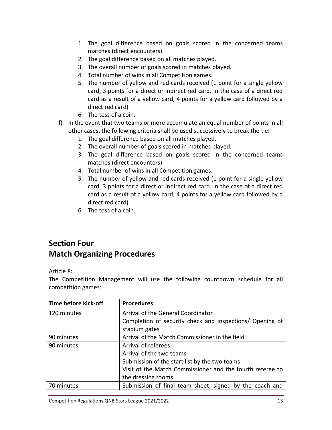- 1. The goal difference based on goals scored in the concerned teams matches (direct encounters).
- 2. The goal difference based on all matches played.
- 3. The overall number of goals scored in matches played.
- 4. Total number of wins in all Competition games.
- 5. The number of yellow and red cards received (1 point for a single yellow card, 3 points for a direct or indirect red card. In the case of a direct red card as a result of a yellow card, 4 points for a yellow card followed by a direct red card)
- 6. The toss of a coin.
- f) In the event that two teams or more accumulate an equal number of points in all other cases, the following criteria shall be used successively to break the tie**:**
	- 1. The goal difference based on all matches played.
	- 2. The overall number of goals scored in matches played.
	- 3. The goal difference based on goals scored in the concerned teams matches (direct encounters).
	- 4. Total number of wins in all Competition games.
	- 5. The number of yellow and red cards received (1 point for a single yellow card, 3 points for a direct or indirect red card. In the case of a direct red card as a result of a yellow card, 4 points for a yellow card followed by a direct red card)
	- 6. The toss of a coin.

# **Section Four Match Organizing Procedures**

Article 8:

The Competition Management will use the following countdown schedule for all competition games:

| Time before kick-off | <b>Procedures</b>                                         |
|----------------------|-----------------------------------------------------------|
| 120 minutes          | Arrival of the General Coordinator                        |
|                      | Completion of security check and inspections/ Opening of  |
|                      | stadium gates                                             |
| 90 minutes           | Arrival of the Match Commissioner in the field            |
| 90 minutes           | Arrival of referees                                       |
|                      | Arrival of the two teams                                  |
|                      | Submission of the start list by the two teams             |
|                      | Visit of the Match Commissioner and the fourth referee to |
|                      | the dressing rooms                                        |
| 70 minutes           | Submission of final team sheet, signed by the coach and   |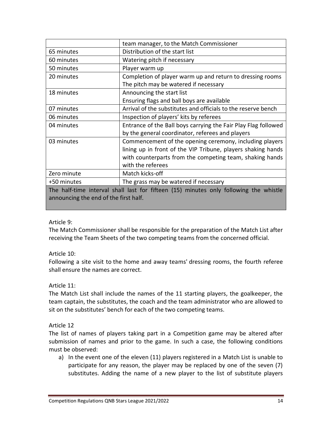|                                                                                       | team manager, to the Match Commissioner                        |
|---------------------------------------------------------------------------------------|----------------------------------------------------------------|
| 65 minutes                                                                            | Distribution of the start list                                 |
| 60 minutes                                                                            | Watering pitch if necessary                                    |
| 50 minutes                                                                            | Player warm up                                                 |
| 20 minutes                                                                            | Completion of player warm up and return to dressing rooms      |
|                                                                                       | The pitch may be watered if necessary                          |
| 18 minutes                                                                            | Announcing the start list                                      |
|                                                                                       | Ensuring flags and ball boys are available                     |
| 07 minutes                                                                            | Arrival of the substitutes and officials to the reserve bench  |
| 06 minutes                                                                            | Inspection of players' kits by referees                        |
| 04 minutes                                                                            | Entrance of the Ball boys carrying the Fair Play Flag followed |
|                                                                                       | by the general coordinator, referees and players               |
| 03 minutes                                                                            | Commencement of the opening ceremony, including players        |
|                                                                                       | lining up in front of the VIP Tribune, players shaking hands   |
|                                                                                       | with counterparts from the competing team, shaking hands       |
|                                                                                       | with the referees                                              |
| Zero minute                                                                           | Match kicks-off                                                |
| +50 minutes                                                                           | The grass may be watered if necessary                          |
| The half-time interval shall last for fifteen (15) minutes only following the whistle |                                                                |
| announcing the end of the first half.                                                 |                                                                |

#### Article 9:

The Match Commissioner shall be responsible for the preparation of the Match List after receiving the Team Sheets of the two competing teams from the concerned official.

#### Article 10:

Following a site visit to the home and away teams' dressing rooms, the fourth referee shall ensure the names are correct.

#### Article 11:

The Match List shall include the names of the 11 starting players, the goalkeeper, the team captain, the substitutes, the coach and the team administrator who are allowed to sit on the substitutes' bench for each of the two competing teams.

#### Article 12

The list of names of players taking part in a Competition game may be altered after submission of names and prior to the game. In such a case, the following conditions must be observed:

a) In the event one of the eleven (11) players registered in a Match List is unable to participate for any reason, the player may be replaced by one of the seven (7) substitutes. Adding the name of a new player to the list of substitute players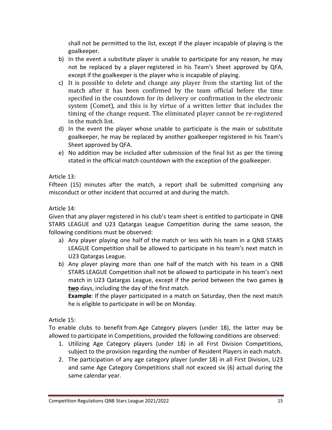shall not be permitted to the list, except if the player incapable of playing is the goalkeeper.

- b) In the event a substitute player is unable to participate for any reason, he may not be replaced by a player registered in his Team's Sheet approved by QFA, except if the goalkeeper is the player who is incapable of playing.
- c) It is possible to delete and change any player from the starting list of the match after it has been confirmed by the team official before the time specified in the countdown for its delivery or confirmation in the electronic system (Comet), and this is by virtue of a written letter that includes the timing of the change request. The eliminated player cannot be re-registered in the match list.
- d) In the event the player whose unable to participate is the main or substitute goalkeeper, he may be replaced by another goalkeeper registered in his Team's Sheet approved by QFA.
- e) No addition may be included after submission of the final list as per the timing stated in the official match countdown with the exception of the goalkeeper.

### Article 13:

Fifteen (15) minutes after the match, a report shall be submitted comprising any misconduct or other incident that occurred at and during the match.

#### Article 14:

Given that any player registered in his club's team sheet is entitled to participate in QNB STARS LEAGUE and U23 Qatargas League Competition during the same season, the following conditions must be observed:

- a) Any player playing one half of the match or less with his team in a QNB STARS LEAGUE Competition shall be allowed to participate in his team's next match in U23 Qatargas League.
- b) Any player playing more than one half of the match with his team in a QNB STARS LEAGUE Competition shall not be allowed to participate in his team's next match in U23 Qatargas League, except if the period between the two games **is two** days, including the day of the first match.

**Example**: If the player participated in a match on Saturday, then the next match he is eligible to participate in will be on Monday.

#### Article 15:

To enable clubs to benefit from Age Category players (under 18), the latter may be allowed to participate in Competitions, provided the following conditions are observed:

- 1. Utilizing Age Category players (under 18) in all First Division Competitions, subject to the provision regarding the number of Resident Players in each match.
- 2. The participation of any age category player (under 18) in all First Division, U23 and same Age Category Competitions shall not exceed six (6) actual during the same calendar year.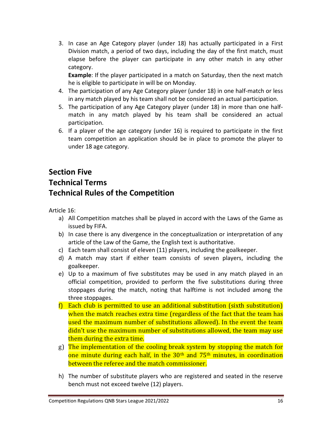3. In case an Age Category player (under 18) has actually participated in a First Division match, a period of two days, including the day of the first match, must elapse before the player can participate in any other match in any other category.

**Example**: If the player participated in a match on Saturday, then the next match he is eligible to participate in will be on Monday.

- 4. The participation of any Age Category player (under 18) in one half-match or less in any match played by his team shall not be considered an actual participation.
- 5. The participation of any Age Category player (under 18) in more than one halfmatch in any match played by his team shall be considered an actual participation.
- 6. If a player of the age category (under 16) is required to participate in the first team competition an application should be in place to promote the player to under 18 age category.

# **Section Five Technical Terms Technical Rules of the Competition**

Article 16:

- a) All Competition matches shall be played in accord with the Laws of the Game as issued by FIFA.
- b) In case there is any divergence in the conceptualization or interpretation of any article of the Law of the Game, the English text is authoritative.
- c) Each team shall consist of eleven (11) players, including the goalkeeper.
- d) A match may start if either team consists of seven players, including the goalkeeper.
- e) Up to a maximum of five substitutes may be used in any match played in an official competition, provided to perform the five substitutions during three stoppages during the match, noting that halftime is not included among the three stoppages.
- f) Each club is permitted to use an additional substitution (sixth substitution) when the match reaches extra time (regardless of the fact that the team has used the maximum number of substitutions allowed). In the event the team didn't use the maximum number of substitutions allowed, the team may use them during the extra time.
- g) The implementation of the cooling break system by stopping the match for one minute during each half, in the 30<sup>th</sup> and 75<sup>th</sup> minutes, in coordination between the referee and the match commissioner.
- h) The number of substitute players who are registered and seated in the reserve bench must not exceed twelve (12) players.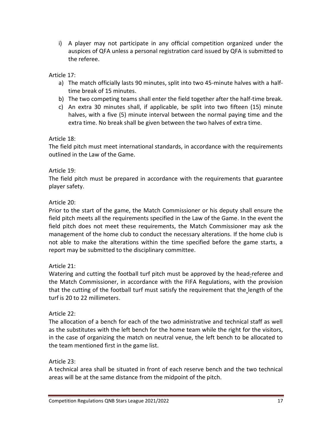i) A player may not participate in any official competition organized under the auspices of QFA unless a personal registration card issued by QFA is submitted to the referee.

### Article 17:

- a) The match officially lasts 90 minutes, split into two 45-minute halves with a halftime break of 15 minutes.
- b) The two competing teams shall enter the field together after the half-time break.
- c) An extra 30 minutes shall, if applicable, be split into two fifteen (15) minute halves, with a five (5) minute interval between the normal paying time and the extra time. No break shall be given between the two halves of extra time.

#### Article 18:

The field pitch must meet international standards, in accordance with the requirements outlined in the Law of the Game.

### Article 19:

The field pitch must be prepared in accordance with the requirements that guarantee player safety.

### Article 20:

Prior to the start of the game, the Match Commissioner or his deputy shall ensure the field pitch meets all the requirements specified in the Law of the Game. In the event the field pitch does not meet these requirements, the Match Commissioner may ask the management of the home club to conduct the necessary alterations. If the home club is not able to make the alterations within the time specified before the game starts, a report may be submitted to the disciplinary committee.

#### Article 21:

Watering and cutting the football turf pitch must be approved by the head-referee and the Match Commissioner, in accordance with the FIFA Regulations, with the provision that the cutting of the football turf must satisfy the requirement that the length of the turf is 20 to 22 millimeters.

#### Article 22:

The allocation of a bench for each of the two administrative and technical staff as well as the substitutes with the left bench for the home team while the right for the visitors, in the case of organizing the match on neutral venue, the left bench to be allocated to the team mentioned first in the game list.

#### Article 23:

A technical area shall be situated in front of each reserve bench and the two technical areas will be at the same distance from the midpoint of the pitch.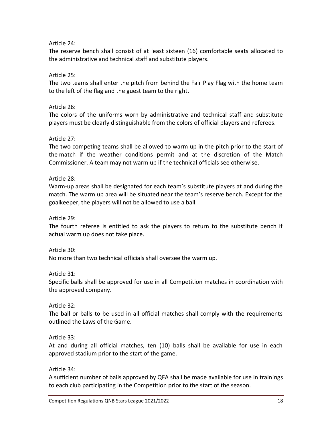### Article 24:

The reserve bench shall consist of at least sixteen (16) comfortable seats allocated to the administrative and technical staff and substitute players.

### Article 25:

The two teams shall enter the pitch from behind the Fair Play Flag with the home team to the left of the flag and the guest team to the right.

### Article 26:

The colors of the uniforms worn by administrative and technical staff and substitute players must be clearly distinguishable from the colors of official players and referees.

### Article 27:

The two competing teams shall be allowed to warm up in the pitch prior to the start of the match if the weather conditions permit and at the discretion of the Match Commissioner. A team may not warm up if the technical officials see otherwise.

### Article 28:

Warm-up areas shall be designated for each team's substitute players at and during the match. The warm up area will be situated near the team's reserve bench. Except for the goalkeeper, the players will not be allowed to use a ball.

### Article 29:

The fourth referee is entitled to ask the players to return to the substitute bench if actual warm up does not take place.

#### Article 30:

No more than two technical officials shall oversee the warm up.

#### Article 31:

Specific balls shall be approved for use in all Competition matches in coordination with the approved company.

### Article 32:

The ball or balls to be used in all official matches shall comply with the requirements outlined the Laws of the Game.

#### Article 33:

At and during all official matches, ten (10) balls shall be available for use in each approved stadium prior to the start of the game.

#### Article 34:

A sufficient number of balls approved by QFA shall be made available for use in trainings to each club participating in the Competition prior to the start of the season.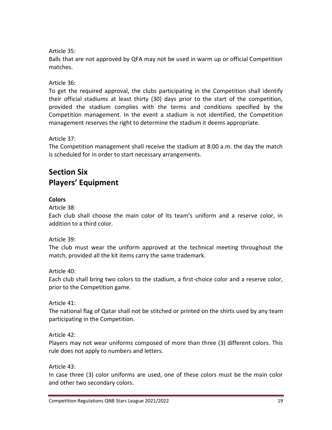Article 35:

Balls that are not approved by QFA may not be used in warm up or official Competition matches.

Article 36:

To get the required approval, the clubs participating in the Competition shall identify their official stadiums at least thirty (30) days prior to the start of the competition, provided the stadium complies with the terms and conditions specified by the Competition management. In the event a stadium is not identified, the Competition management reserves the right to determine the stadium it deems appropriate.

Article 37:

The Competition management shall receive the stadium at 8:00 a.m. the day the match is scheduled for in order to start necessary arrangements.

# **Section Six Players' Equipment**

### **Colors**

Article 38:

Each club shall choose the main color of its team's uniform and a reserve color, in addition to a third color.

Article 39:

The club must wear the uniform approved at the technical meeting throughout the match, provided all the kit items carry the same trademark.

Article 40:

Each club shall bring two colors to the stadium, a first-choice color and a reserve color, prior to the Competition game.

Article 41:

The national flag of Qatar shall not be stitched or printed on the shirts used by any team participating in the Competition.

Article 42:

Players may not wear uniforms composed of more than three (3) different colors. This rule does not apply to numbers and letters.

Article 43:

In case three (3) color uniforms are used, one of these colors must be the main color and other two secondary colors.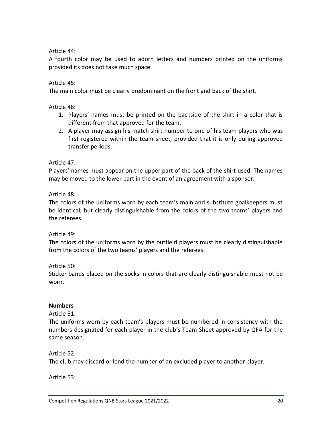Article 44:

A fourth color may be used to adorn letters and numbers printed on the uniforms provided its does not take much space.

Article 45:

The main color must be clearly predominant on the front and back of the shirt.

Article 46:

- 1. Players' names must be printed on the backside of the shirt in a color that is different from that approved for the team.
- 2. A player may assign his match shirt number to one of his team players who was first registered within the team sheet, provided that it is only during approved transfer periods.

Article 47:

Players' names must appear on the upper part of the back of the shirt used. The names may be moved to the lower part in the event of an agreement with a sponsor.

Article 48:

The colors of the uniforms worn by each team's main and substitute goalkeepers must be identical, but clearly distinguishable from the colors of the two teams' players and the referees.

Article 49:

The colors of the uniforms worn by the outfield players must be clearly distinguishable from the colors of the two teams' players and the referees.

Article 50:

Sticker bands placed on the socks in colors that are clearly distinguishable must not be worn.

#### **Numbers**

Article 51:

The uniforms worn by each team's players must be numbered in consistency with the numbers designated for each player in the club's Team Sheet approved by QFA for the same season.

Article 52:

The club may discard or lend the number of an excluded player to another player.

Article 53: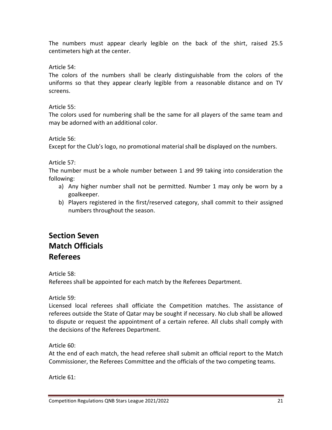The numbers must appear clearly legible on the back of the shirt, raised 25.5 centimeters high at the center.

Article 54:

The colors of the numbers shall be clearly distinguishable from the colors of the uniforms so that they appear clearly legible from a reasonable distance and on TV screens.

Article 55:

The colors used for numbering shall be the same for all players of the same team and may be adorned with an additional color.

Article 56:

Except for the Club's logo, no promotional material shall be displayed on the numbers.

Article 57:

The number must be a whole number between 1 and 99 taking into consideration the following:

- a) Any higher number shall not be permitted. Number 1 may only be worn by a goalkeeper.
- b) Players registered in the first/reserved category, shall commit to their assigned numbers throughout the season.

# **Section Seven Match Officials Referees**

Article 58:

Referees shall be appointed for each match by the Referees Department.

Article 59:

Licensed local referees shall officiate the Competition matches. The assistance of referees outside the State of Qatar may be sought if necessary. No club shall be allowed to dispute or request the appointment of a certain referee. All clubs shall comply with the decisions of the Referees Department.

Article 60:

At the end of each match, the head referee shall submit an official report to the Match Commissioner, the Referees Committee and the officials of the two competing teams.

Article 61: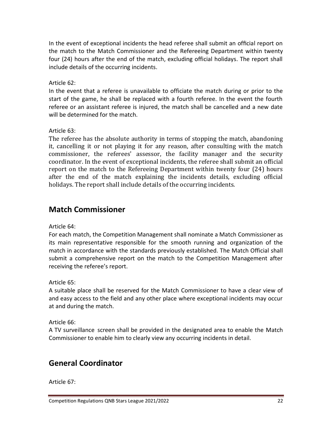In the event of exceptional incidents the head referee shall submit an official report on the match to the Match Commissioner and the Refereeing Department within twenty four (24) hours after the end of the match, excluding official holidays. The report shall include details of the occurring incidents.

Article 62:

In the event that a referee is unavailable to officiate the match during or prior to the start of the game, he shall be replaced with a fourth referee. In the event the fourth referee or an assistant referee is injured, the match shall be cancelled and a new date will be determined for the match.

Article 63:

The referee has the absolute authority in terms of stopping the match, abandoning it, cancelling it or not playing it for any reason, after consulting with the match commissioner, the referees' assessor, the facility manager and the security coordinator. In the event of exceptional incidents, the referee shall submit an official report on the match to the Refereeing Department within twenty four (24) hours after the end of the match explaining the incidents details, excluding official holidays. The report shall include details of the occurring incidents.

### **Match Commissioner**

Article 64:

For each match, the Competition Management shall nominate a Match Commissioner as its main representative responsible for the smooth running and organization of the match in accordance with the standards previously established. The Match Official shall submit a comprehensive report on the match to the Competition Management after receiving the referee's report.

Article 65:

A suitable place shall be reserved for the Match Commissioner to have a clear view of and easy access to the field and any other place where exceptional incidents may occur at and during the match.

Article 66:

A TV surveillance screen shall be provided in the designated area to enable the Match Commissioner to enable him to clearly view any occurring incidents in detail.

# **General Coordinator**

Article 67: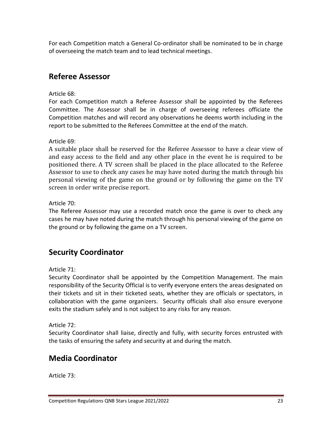For each Competition match a General Co-ordinator shall be nominated to be in charge of overseeing the match team and to lead technical meetings.

### **Referee Assessor**

Article 68:

For each Competition match a Referee Assessor shall be appointed by the Referees Committee. The Assessor shall be in charge of overseeing referees officiate the Competition matches and will record any observations he deems worth including in the report to be submitted to the Referees Committee at the end of the match.

Article 69:

A suitable place shall be reserved for the Referee Assessor to have a clear view of and easy access to the field and any other place in the event he is required to be positioned there. A TV screen shall be placed in the place allocated to the Referee Assessor to use to check any cases he may have noted during the match through his personal viewing of the game on the ground or by following the game on the TV screen in order write precise report.

Article 70:

The Referee Assessor may use a recorded match once the game is over to check any cases he may have noted during the match through his personal viewing of the game on the ground or by following the game on a TV screen.

# **Security Coordinator**

Article 71:

Security Coordinator shall be appointed by the Competition Management. The main responsibility of the Security Official is to verify everyone enters the areas designated on their tickets and sit in their ticketed seats, whether they are officials or spectators, in collaboration with the game organizers. Security officials shall also ensure everyone exits the stadium safely and is not subject to any risks for any reason.

Article 72:

Security Coordinator shall liaise, directly and fully, with security forces entrusted with the tasks of ensuring the safety and security at and during the match.

# **Media Coordinator**

Article 73: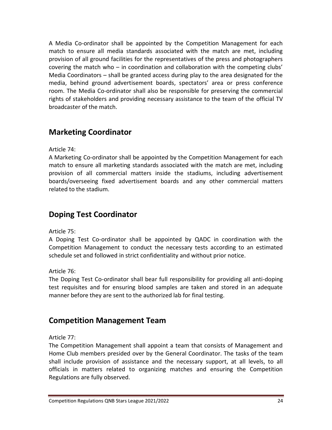A Media Co-ordinator shall be appointed by the Competition Management for each match to ensure all media standards associated with the match are met, including provision of all ground facilities for the representatives of the press and photographers covering the match who – in coordination and collaboration with the competing clubs' Media Coordinators – shall be granted access during play to the area designated for the media, behind ground advertisement boards, spectators' area or press conference room. The Media Co-ordinator shall also be responsible for preserving the commercial rights of stakeholders and providing necessary assistance to the team of the official TV broadcaster of the match.

# **Marketing Coordinator**

Article 74:

A Marketing Co-ordinator shall be appointed by the Competition Management for each match to ensure all marketing standards associated with the match are met, including provision of all commercial matters inside the stadiums, including advertisement boards/overseeing fixed advertisement boards and any other commercial matters related to the stadium.

### **Doping Test Coordinator**

Article 75:

A Doping Test Co-ordinator shall be appointed by QADC in coordination with the Competition Management to conduct the necessary tests according to an estimated schedule set and followed in strict confidentiality and without prior notice.

Article 76:

The Doping Test Co-ordinator shall bear full responsibility for providing all anti-doping test requisites and for ensuring blood samples are taken and stored in an adequate manner before they are sent to the authorized lab for final testing.

### **Competition Management Team**

Article 77:

The Competition Management shall appoint a team that consists of Management and Home Club members presided over by the General Coordinator. The tasks of the team shall include provision of assistance and the necessary support, at all levels, to all officials in matters related to organizing matches and ensuring the Competition Regulations are fully observed.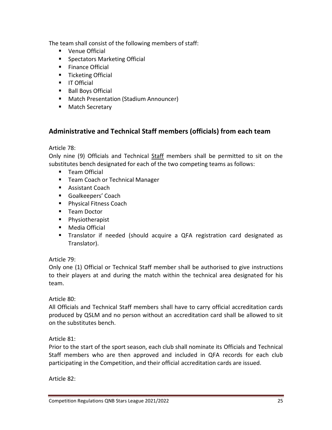The team shall consist of the following members of staff:

- Venue Official
- Spectators Marketing Official
- Finance Official
- Ticketing Official
- IT Official
- Ball Boys Official
- Match Presentation (Stadium Announcer)
- Match Secretary

### **Administrative and Technical Staff members (officials) from each team**

Article 78:

Only nine (9) Officials and Technical Staff members shall be permitted to sit on the substitutes bench designated for each of the two competing teams as follows:

- Team Official
- Team Coach or Technical Manager
- Assistant Coach
- Goalkeepers' Coach
- Physical Fitness Coach
- Team Doctor
- Physiotherapist
- Media Official
- Translator if needed (should acquire a QFA registration card designated as Translator).

### Article 79:

Only one (1) Official or Technical Staff member shall be authorised to give instructions to their players at and during the match within the technical area designated for his team.

### Article 80:

All Officials and Technical Staff members shall have to carry official accreditation cards produced by QSLM and no person without an accreditation card shall be allowed to sit on the substitutes bench.

### Article 81:

Prior to the start of the sport season, each club shall nominate its Officials and Technical Staff members who are then approved and included in QFA records for each club participating in the Competition, and their official accreditation cards are issued.

Article 82: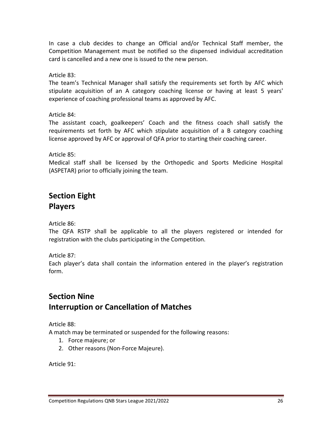In case a club decides to change an Official and/or Technical Staff member, the Competition Management must be notified so the dispensed individual accreditation card is cancelled and a new one is issued to the new person.

Article 83:

The team's Technical Manager shall satisfy the requirements set forth by AFC which stipulate acquisition of an A category coaching license or having at least 5 years' experience of coaching professional teams as approved by AFC.

Article 84:

The assistant coach, goalkeepers' Coach and the fitness coach shall satisfy the requirements set forth by AFC which stipulate acquisition of a B category coaching license approved by AFC or approval of QFA prior to starting their coaching career.

Article 85:

Medical staff shall be licensed by the Orthopedic and Sports Medicine Hospital (ASPETAR) prior to officially joining the team.

# **Section Eight Players**

Article 86:

The QFA RSTP shall be applicable to all the players registered or intended for registration with the clubs participating in the Competition.

Article 87:

Each player's data shall contain the information entered in the player's registration form.

# **Section Nine Interruption or Cancellation of Matches**

Article 88:

A match may be terminated or suspended for the following reasons:

- 1. Force majeure; or
- 2. Other reasons (Non-Force Majeure).

Article 91: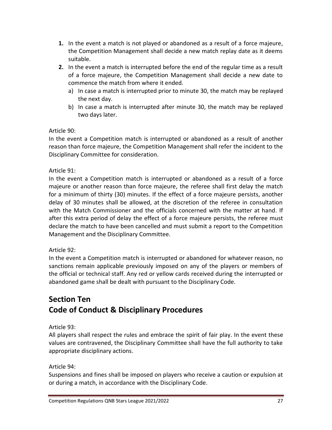- **1.** In the event a match is not played or abandoned as a result of a force majeure, the Competition Management shall decide a new match replay date as it deems suitable.
- **2.** In the event a match is interrupted before the end of the regular time as a result of a force majeure, the Competition Management shall decide a new date to commence the match from where it ended.
	- a) In case a match is interrupted prior to minute 30, the match may be replayed the next day.
	- b) In case a match is interrupted after minute 30, the match may be replayed two days later.

Article 90:

In the event a Competition match is interrupted or abandoned as a result of another reason than force majeure, the Competition Management shall refer the incident to the Disciplinary Committee for consideration.

Article 91:

In the event a Competition match is interrupted or abandoned as a result of a force majeure or another reason than force majeure, the referee shall first delay the match for a minimum of thirty (30) minutes. If the effect of a force majeure persists, another delay of 30 minutes shall be allowed, at the discretion of the referee in consultation with the Match Commissioner and the officials concerned with the matter at hand. If after this extra period of delay the effect of a force majeure persists, the referee must declare the match to have been cancelled and must submit a report to the Competition Management and the Disciplinary Committee.

### Article 92:

In the event a Competition match is interrupted or abandoned for whatever reason, no sanctions remain applicable previously imposed on any of the players or members of the official or technical staff. Any red or yellow cards received during the interrupted or abandoned game shall be dealt with pursuant to the Disciplinary Code.

# **Section Ten Code of Conduct & Disciplinary Procedures**

Article 93:

All players shall respect the rules and embrace the spirit of fair play. In the event these values are contravened, the Disciplinary Committee shall have the full authority to take appropriate disciplinary actions.

Article 94:

Suspensions and fines shall be imposed on players who receive a caution or expulsion at or during a match, in accordance with the Disciplinary Code.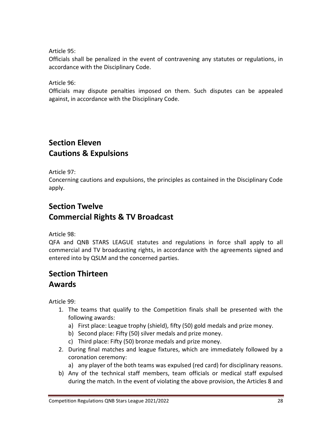Article 95:

Officials shall be penalized in the event of contravening any statutes or regulations, in accordance with the Disciplinary Code.

Article 96:

Officials may dispute penalties imposed on them. Such disputes can be appealed against, in accordance with the Disciplinary Code.

### **Section Eleven Cautions & Expulsions**

Article 97:

Concerning cautions and expulsions, the principles as contained in the Disciplinary Code apply.

# **Section Twelve Commercial Rights & TV Broadcast**

Article 98:

QFA and QNB STARS LEAGUE statutes and regulations in force shall apply to all commercial and TV broadcasting rights, in accordance with the agreements signed and entered into by QSLM and the concerned parties.

# **Section Thirteen Awards**

Article 99:

- 1. The teams that qualify to the Competition finals shall be presented with the following awards:
	- a) First place: League trophy (shield), fifty (50) gold medals and prize money.
	- b) Second place: Fifty (50) silver medals and prize money.
	- c) Third place: Fifty (50) bronze medals and prize money.
- 2. During final matches and league fixtures, which are immediately followed by a coronation ceremony:
	- a) any player of the both teams was expulsed (red card) for disciplinary reasons.
- b) Any of the technical staff members, team officials or medical staff expulsed during the match. In the event of violating the above provision, the Articles 8 and